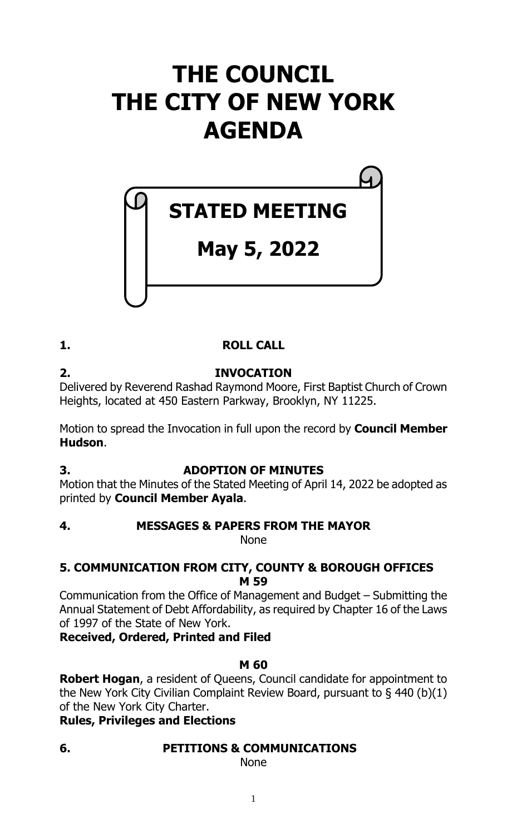# **THE COUNCIL THE CITY OF NEW YORK AGENDA**

# **STATED MEETING**

# **May 5, 2022**

# **1. ROLL CALL**

**2. INVOCATION** Delivered by Reverend Rashad Raymond Moore, First Baptist Church of Crown Heights, located at 450 Eastern Parkway, Brooklyn, NY 11225.

Motion to spread the Invocation in full upon the record by **Council Member Hudson**.

**3. ADOPTION OF MINUTES**

Motion that the Minutes of the Stated Meeting of April 14, 2022 be adopted as printed by **Council Member Ayala**.

**4. MESSAGES & PAPERS FROM THE MAYOR**

None

# **5. COMMUNICATION FROM CITY, COUNTY & BOROUGH OFFICES M 59**

Communication from the Office of Management and Budget – Submitting the Annual Statement of Debt Affordability, as required by Chapter 16 of the Laws of 1997 of the State of New York.

**Received, Ordered, Printed and Filed**

# **M 60**

**Robert Hogan**, a resident of Queens, Council candidate for appointment to the New York City Civilian Complaint Review Board, pursuant to § 440 (b)(1) of the New York City Charter.

# **Rules, Privileges and Elections**

**6. PETITIONS & COMMUNICATIONS**

None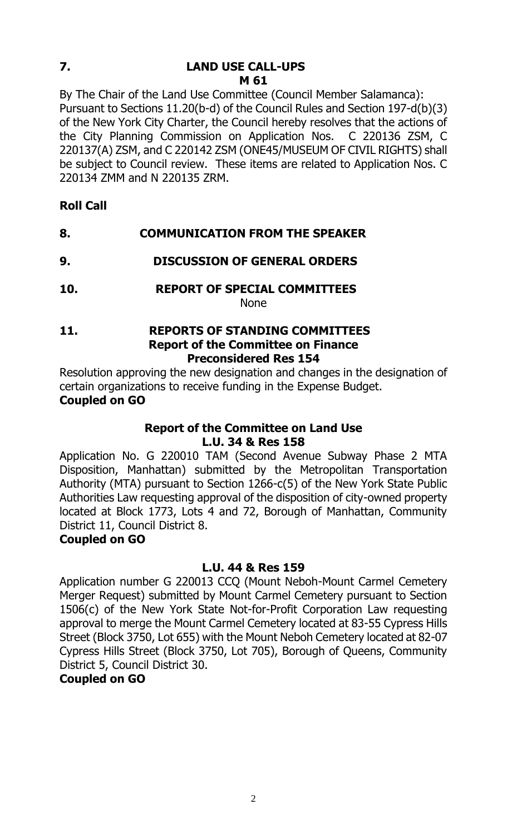# **7. LAND USE CALL-UPS M 61**

By The Chair of the Land Use Committee (Council Member Salamanca): Pursuant to Sections 11.20(b-d) of the Council Rules and Section 197-d(b)(3) of the New York City Charter, the Council hereby resolves that the actions of the City Planning Commission on Application Nos. C 220136 ZSM, C 220137(A) ZSM, and C 220142 ZSM (ONE45/MUSEUM OF CIVIL RIGHTS) shall be subject to Council review. These items are related to Application Nos. C 220134 ZMM and N 220135 ZRM.

- **Roll Call**
- **8. COMMUNICATION FROM THE SPEAKER**
- **9. DISCUSSION OF GENERAL ORDERS**
- **10. REPORT OF SPECIAL COMMITTEES**

None

**11. REPORTS OF STANDING COMMITTEES Report of the Committee on Finance Preconsidered Res 154**

Resolution approving the new designation and changes in the designation of certain organizations to receive funding in the Expense Budget. **Coupled on GO**

#### **Report of the Committee on Land Use L.U. 34 & Res 158**

Application No. G 220010 TAM (Second Avenue Subway Phase 2 MTA Disposition, Manhattan) submitted by the Metropolitan Transportation Authority (MTA) pursuant to Section 1266-c(5) of the New York State Public Authorities Law requesting approval of the disposition of city-owned property located at Block 1773, Lots 4 and 72, Borough of Manhattan, Community District 11, Council District 8.

# **Coupled on GO**

#### **L.U. 44 & Res 159**

Application number G 220013 CCQ (Mount Neboh-Mount Carmel Cemetery Merger Request) submitted by Mount Carmel Cemetery pursuant to Section 1506(c) of the New York State Not-for-Profit Corporation Law requesting approval to merge the Mount Carmel Cemetery located at 83-55 Cypress Hills Street (Block 3750, Lot 655) with the Mount Neboh Cemetery located at 82-07 Cypress Hills Street (Block 3750, Lot 705), Borough of Queens, Community District 5, Council District 30.

# **Coupled on GO**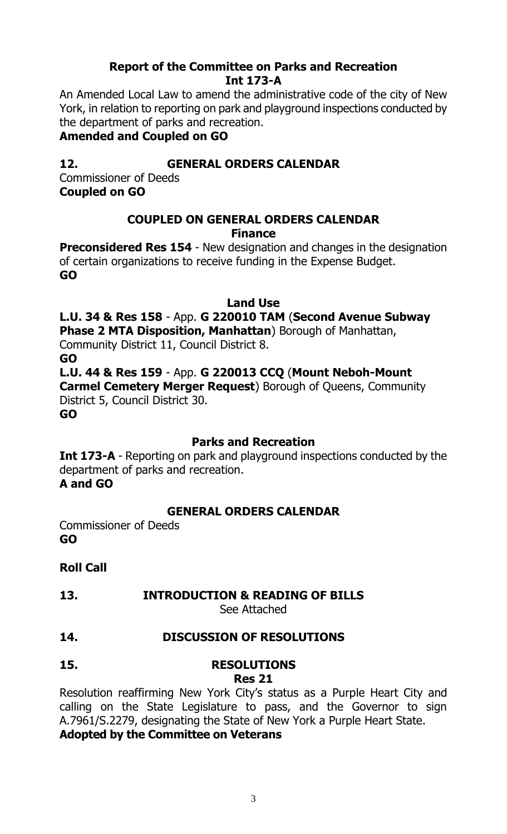# **Report of the Committee on Parks and Recreation Int 173-A**

An Amended Local Law to amend the administrative code of the city of New York, in relation to reporting on park and playground inspections conducted by the department of parks and recreation.

# **Amended and Coupled on GO**

# **12. GENERAL ORDERS CALENDAR**

Commissioner of Deeds **Coupled on GO**

# **COUPLED ON GENERAL ORDERS CALENDAR Finance**

**Preconsidered Res 154** - New designation and changes in the designation of certain organizations to receive funding in the Expense Budget. **GO**

# **Land Use**

# **L.U. 34 & Res 158** - App. **G 220010 TAM** (**Second Avenue Subway Phase 2 MTA Disposition, Manhattan**) Borough of Manhattan,

Community District 11, Council District 8.

**GO**

**L.U. 44 & Res 159** - App. **G 220013 CCQ** (**Mount Neboh-Mount Carmel Cemetery Merger Request**) Borough of Queens, Community

District 5, Council District 30.

**GO**

# **Parks and Recreation**

**Int 173-A** - Reporting on park and playground inspections conducted by the department of parks and recreation.

**A and GO**

# **GENERAL ORDERS CALENDAR**

Commissioner of Deeds **GO**

# **Roll Call**

# **13. INTRODUCTION & READING OF BILLS**

See Attached

# **14. DISCUSSION OF RESOLUTIONS**

# **15. RESOLUTIONS**

**Res 21**

Resolution reaffirming New York City's status as a Purple Heart City and calling on the State Legislature to pass, and the Governor to sign A.7961/S.2279, designating the State of New York a Purple Heart State. **Adopted by the Committee on Veterans**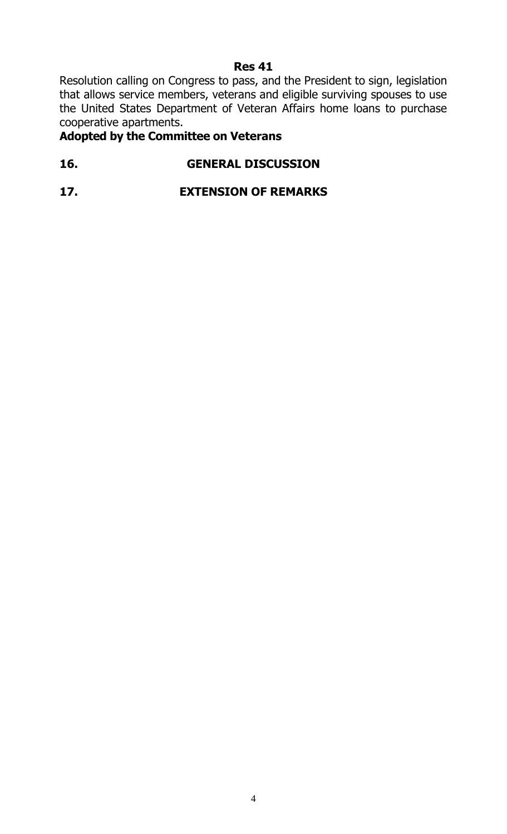#### **Res 41**

Resolution calling on Congress to pass, and the President to sign, legislation that allows service members, veterans and eligible surviving spouses to use the United States Department of Veteran Affairs home loans to purchase cooperative apartments.

# **Adopted by the Committee on Veterans**

# **16. GENERAL DISCUSSION**

# **17. EXTENSION OF REMARKS**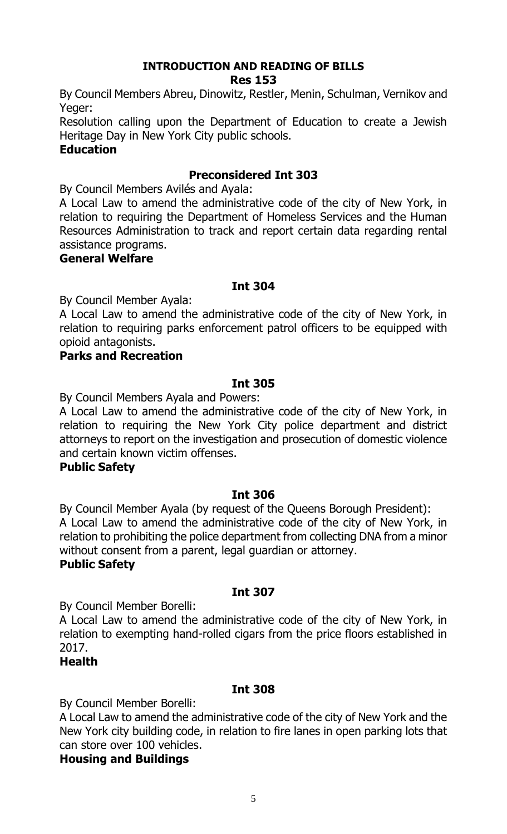#### **INTRODUCTION AND READING OF BILLS Res 153**

By Council Members Abreu, Dinowitz, Restler, Menin, Schulman, Vernikov and Yeger:

Resolution calling upon the Department of Education to create a Jewish Heritage Day in New York City public schools.

# **Education**

# **Preconsidered Int 303**

By Council Members Avilés and Ayala:

A Local Law to amend the administrative code of the city of New York, in relation to requiring the Department of Homeless Services and the Human Resources Administration to track and report certain data regarding rental assistance programs.

#### **General Welfare**

#### **Int 304**

By Council Member Ayala:

A Local Law to amend the administrative code of the city of New York, in relation to requiring parks enforcement patrol officers to be equipped with opioid antagonists.

#### **Parks and Recreation**

#### **Int 305**

By Council Members Ayala and Powers:

A Local Law to amend the administrative code of the city of New York, in relation to requiring the New York City police department and district attorneys to report on the investigation and prosecution of domestic violence and certain known victim offenses.

#### **Public Safety**

#### **Int 306**

By Council Member Ayala (by request of the Queens Borough President): A Local Law to amend the administrative code of the city of New York, in relation to prohibiting the police department from collecting DNA from a minor without consent from a parent, legal guardian or attorney.

#### **Public Safety**

#### **Int 307**

By Council Member Borelli:

A Local Law to amend the administrative code of the city of New York, in relation to exempting hand-rolled cigars from the price floors established in 2017.

#### **Health**

#### **Int 308**

By Council Member Borelli:

A Local Law to amend the administrative code of the city of New York and the New York city building code, in relation to fire lanes in open parking lots that can store over 100 vehicles.

#### **Housing and Buildings**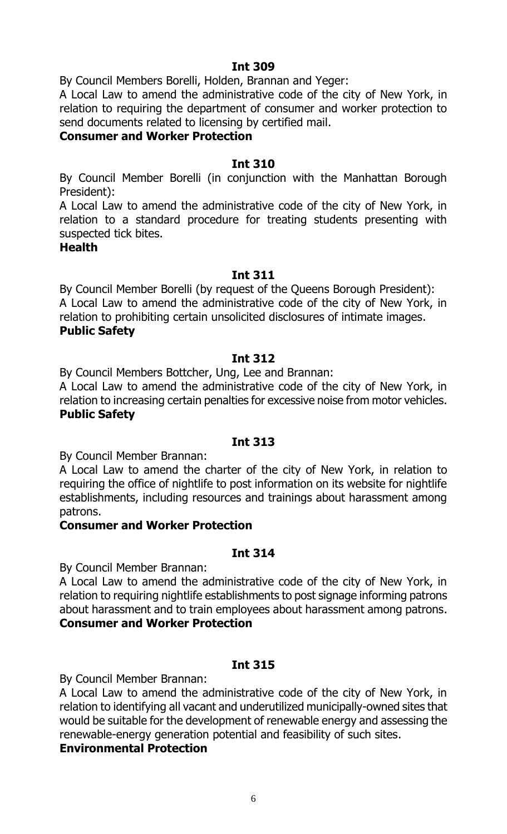By Council Members Borelli, Holden, Brannan and Yeger:

A Local Law to amend the administrative code of the city of New York, in relation to requiring the department of consumer and worker protection to send documents related to licensing by certified mail.

# **Consumer and Worker Protection**

#### **Int 310**

By Council Member Borelli (in conjunction with the Manhattan Borough President):

A Local Law to amend the administrative code of the city of New York, in relation to a standard procedure for treating students presenting with suspected tick bites.

#### **Health**

#### **Int 311**

By Council Member Borelli (by request of the Queens Borough President): A Local Law to amend the administrative code of the city of New York, in relation to prohibiting certain unsolicited disclosures of intimate images. **Public Safety**

#### **Int 312**

By Council Members Bottcher, Ung, Lee and Brannan:

A Local Law to amend the administrative code of the city of New York, in relation to increasing certain penalties for excessive noise from motor vehicles. **Public Safety**

#### **Int 313**

By Council Member Brannan:

A Local Law to amend the charter of the city of New York, in relation to requiring the office of nightlife to post information on its website for nightlife establishments, including resources and trainings about harassment among patrons.

#### **Consumer and Worker Protection**

#### **Int 314**

By Council Member Brannan:

A Local Law to amend the administrative code of the city of New York, in relation to requiring nightlife establishments to post signage informing patrons about harassment and to train employees about harassment among patrons. **Consumer and Worker Protection**

#### **Int 315**

By Council Member Brannan:

A Local Law to amend the administrative code of the city of New York, in relation to identifying all vacant and underutilized municipally-owned sites that would be suitable for the development of renewable energy and assessing the renewable-energy generation potential and feasibility of such sites.

## **Environmental Protection**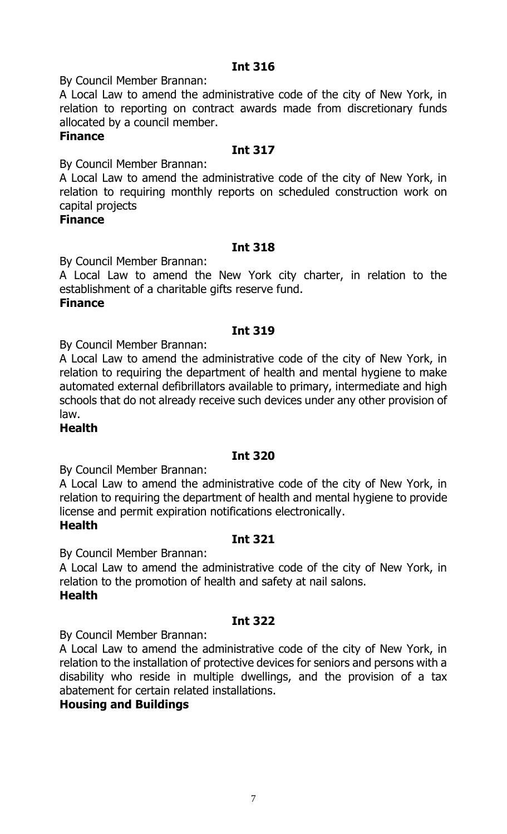By Council Member Brannan:

A Local Law to amend the administrative code of the city of New York, in relation to reporting on contract awards made from discretionary funds allocated by a council member.

#### **Finance**

#### **Int 317**

By Council Member Brannan:

A Local Law to amend the administrative code of the city of New York, in relation to requiring monthly reports on scheduled construction work on capital projects

#### **Finance**

#### **Int 318**

By Council Member Brannan:

A Local Law to amend the New York city charter, in relation to the establishment of a charitable gifts reserve fund.

#### **Finance**

# **Int 319**

By Council Member Brannan:

A Local Law to amend the administrative code of the city of New York, in relation to requiring the department of health and mental hygiene to make automated external defibrillators available to primary, intermediate and high schools that do not already receive such devices under any other provision of law.

#### **Health**

#### **Int 320**

By Council Member Brannan:

A Local Law to amend the administrative code of the city of New York, in relation to requiring the department of health and mental hygiene to provide license and permit expiration notifications electronically.

#### **Health**

#### **Int 321**

By Council Member Brannan:

A Local Law to amend the administrative code of the city of New York, in relation to the promotion of health and safety at nail salons. **Health**

# **Int 322**

By Council Member Brannan:

A Local Law to amend the administrative code of the city of New York, in relation to the installation of protective devices for seniors and persons with a disability who reside in multiple dwellings, and the provision of a tax abatement for certain related installations.

#### **Housing and Buildings**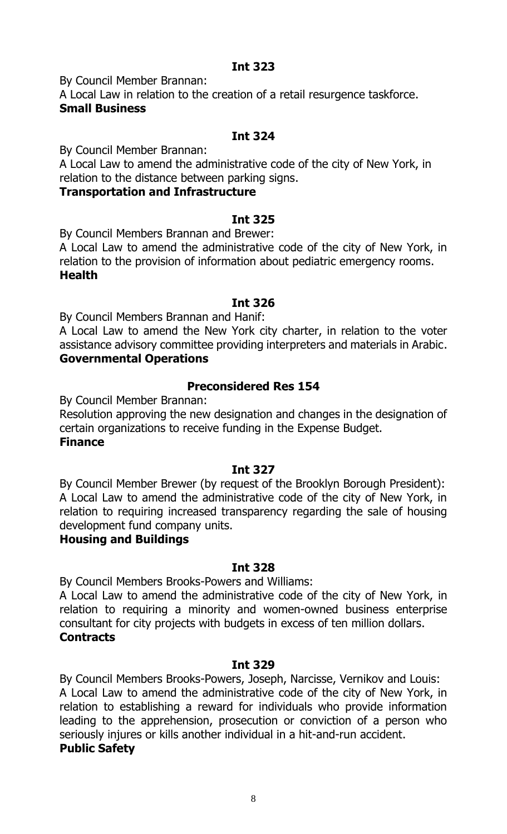By Council Member Brannan:

A Local Law in relation to the creation of a retail resurgence taskforce. **Small Business**

# **Int 324**

By Council Member Brannan:

A Local Law to amend the administrative code of the city of New York, in relation to the distance between parking signs.

## **Transportation and Infrastructure**

#### **Int 325**

By Council Members Brannan and Brewer:

A Local Law to amend the administrative code of the city of New York, in relation to the provision of information about pediatric emergency rooms. **Health**

#### **Int 326**

By Council Members Brannan and Hanif:

A Local Law to amend the New York city charter, in relation to the voter assistance advisory committee providing interpreters and materials in Arabic. **Governmental Operations**

# **Preconsidered Res 154**

By Council Member Brannan:

Resolution approving the new designation and changes in the designation of certain organizations to receive funding in the Expense Budget.

# **Finance**

# **Int 327**

By Council Member Brewer (by request of the Brooklyn Borough President): A Local Law to amend the administrative code of the city of New York, in relation to requiring increased transparency regarding the sale of housing development fund company units.

#### **Housing and Buildings**

#### **Int 328**

By Council Members Brooks-Powers and Williams:

A Local Law to amend the administrative code of the city of New York, in relation to requiring a minority and women-owned business enterprise consultant for city projects with budgets in excess of ten million dollars. **Contracts**

#### **Int 329**

By Council Members Brooks-Powers, Joseph, Narcisse, Vernikov and Louis: A Local Law to amend the administrative code of the city of New York, in relation to establishing a reward for individuals who provide information leading to the apprehension, prosecution or conviction of a person who seriously injures or kills another individual in a hit-and-run accident. **Public Safety**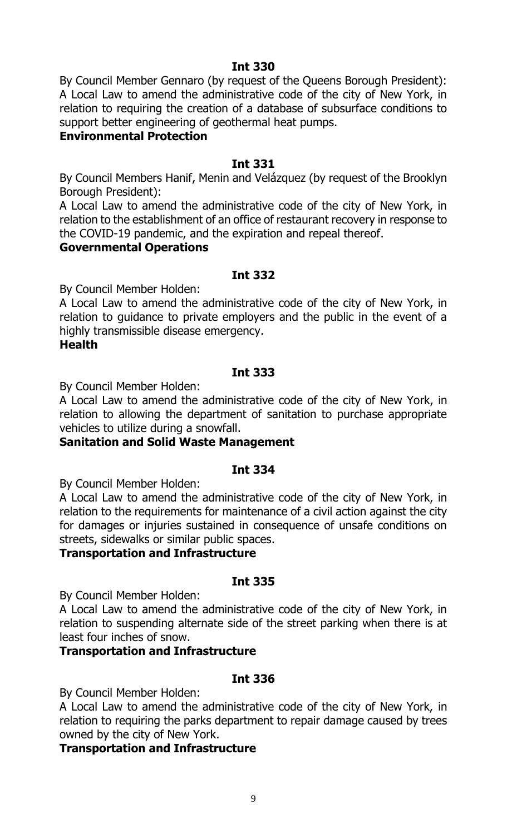By Council Member Gennaro (by request of the Queens Borough President): A Local Law to amend the administrative code of the city of New York, in relation to requiring the creation of a database of subsurface conditions to support better engineering of geothermal heat pumps.

## **Environmental Protection**

#### **Int 331**

By Council Members Hanif, Menin and Velázquez (by request of the Brooklyn Borough President):

A Local Law to amend the administrative code of the city of New York, in relation to the establishment of an office of restaurant recovery in response to the COVID-19 pandemic, and the expiration and repeal thereof.

#### **Governmental Operations**

#### **Int 332**

By Council Member Holden:

A Local Law to amend the administrative code of the city of New York, in relation to guidance to private employers and the public in the event of a highly transmissible disease emergency.

#### **Health**

#### **Int 333**

By Council Member Holden:

A Local Law to amend the administrative code of the city of New York, in relation to allowing the department of sanitation to purchase appropriate vehicles to utilize during a snowfall.

#### **Sanitation and Solid Waste Management**

#### **Int 334**

By Council Member Holden:

A Local Law to amend the administrative code of the city of New York, in relation to the requirements for maintenance of a civil action against the city for damages or injuries sustained in consequence of unsafe conditions on streets, sidewalks or similar public spaces.

#### **Transportation and Infrastructure**

#### **Int 335**

By Council Member Holden:

A Local Law to amend the administrative code of the city of New York, in relation to suspending alternate side of the street parking when there is at least four inches of snow.

#### **Transportation and Infrastructure**

#### **Int 336**

By Council Member Holden:

A Local Law to amend the administrative code of the city of New York, in relation to requiring the parks department to repair damage caused by trees owned by the city of New York.

#### **Transportation and Infrastructure**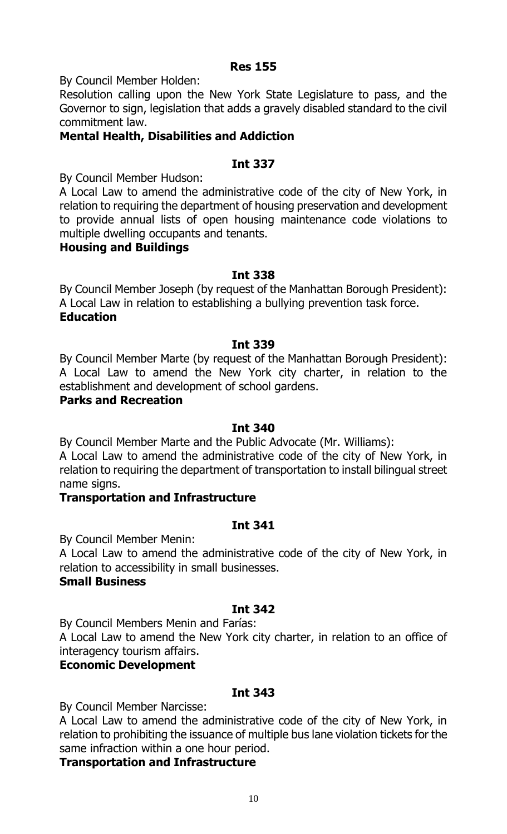#### **Res 155**

By Council Member Holden:

Resolution calling upon the New York State Legislature to pass, and the Governor to sign, legislation that adds a gravely disabled standard to the civil commitment law.

## **Mental Health, Disabilities and Addiction**

#### **Int 337**

By Council Member Hudson:

A Local Law to amend the administrative code of the city of New York, in relation to requiring the department of housing preservation and development to provide annual lists of open housing maintenance code violations to multiple dwelling occupants and tenants.

#### **Housing and Buildings**

#### **Int 338**

By Council Member Joseph (by request of the Manhattan Borough President): A Local Law in relation to establishing a bullying prevention task force. **Education**

#### **Int 339**

By Council Member Marte (by request of the Manhattan Borough President): A Local Law to amend the New York city charter, in relation to the establishment and development of school gardens.

#### **Parks and Recreation**

#### **Int 340**

By Council Member Marte and the Public Advocate (Mr. Williams):

A Local Law to amend the administrative code of the city of New York, in relation to requiring the department of transportation to install bilingual street name signs.

#### **Transportation and Infrastructure**

#### **Int 341**

By Council Member Menin:

A Local Law to amend the administrative code of the city of New York, in relation to accessibility in small businesses.

#### **Small Business**

#### **Int 342**

By Council Members Menin and Farías:

A Local Law to amend the New York city charter, in relation to an office of interagency tourism affairs.

#### **Economic Development**

#### **Int 343**

By Council Member Narcisse:

A Local Law to amend the administrative code of the city of New York, in relation to prohibiting the issuance of multiple bus lane violation tickets for the same infraction within a one hour period.

#### **Transportation and Infrastructure**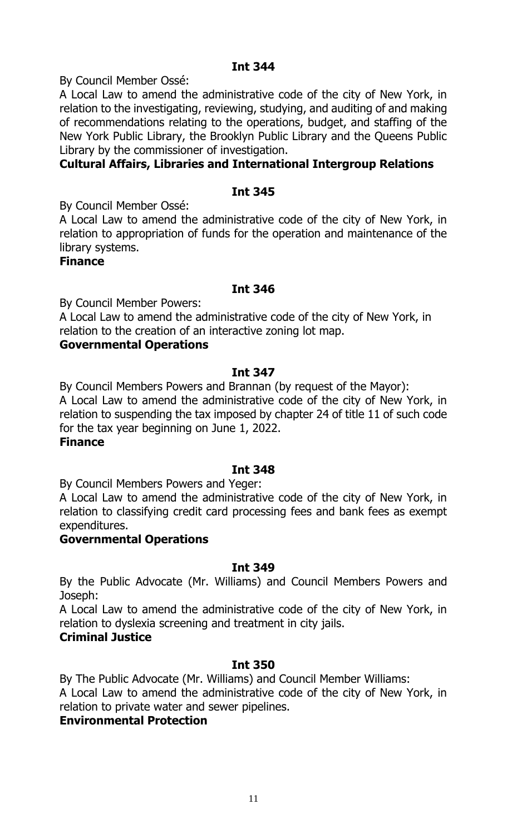By Council Member Ossé:

A Local Law to amend the administrative code of the city of New York, in relation to the investigating, reviewing, studying, and auditing of and making of recommendations relating to the operations, budget, and staffing of the New York Public Library, the Brooklyn Public Library and the Queens Public Library by the commissioner of investigation.

# **Cultural Affairs, Libraries and International Intergroup Relations**

## **Int 345**

By Council Member Ossé:

A Local Law to amend the administrative code of the city of New York, in relation to appropriation of funds for the operation and maintenance of the library systems.

#### **Finance**

#### **Int 346**

By Council Member Powers:

A Local Law to amend the administrative code of the city of New York, in relation to the creation of an interactive zoning lot map.

#### **Governmental Operations**

#### **Int 347**

By Council Members Powers and Brannan (by request of the Mayor): A Local Law to amend the administrative code of the city of New York, in relation to suspending the tax imposed by chapter 24 of title 11 of such code for the tax year beginning on June 1, 2022.

#### **Finance**

#### **Int 348**

By Council Members Powers and Yeger:

A Local Law to amend the administrative code of the city of New York, in relation to classifying credit card processing fees and bank fees as exempt expenditures.

#### **Governmental Operations**

#### **Int 349**

By the Public Advocate (Mr. Williams) and Council Members Powers and Joseph:

A Local Law to amend the administrative code of the city of New York, in relation to dyslexia screening and treatment in city jails.

#### **Criminal Justice**

#### **Int 350**

By The Public Advocate (Mr. Williams) and Council Member Williams: A Local Law to amend the administrative code of the city of New York, in relation to private water and sewer pipelines.

#### **Environmental Protection**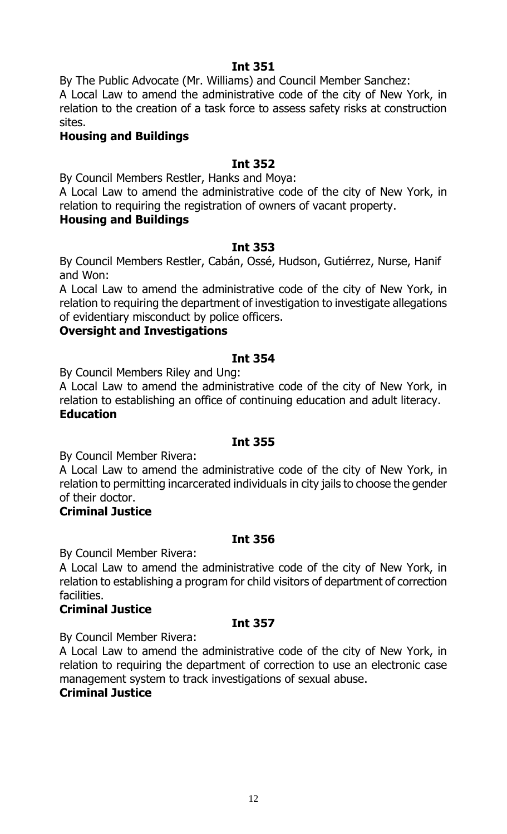By The Public Advocate (Mr. Williams) and Council Member Sanchez:

A Local Law to amend the administrative code of the city of New York, in relation to the creation of a task force to assess safety risks at construction sites.

# **Housing and Buildings**

## **Int 352**

By Council Members Restler, Hanks and Moya:

A Local Law to amend the administrative code of the city of New York, in relation to requiring the registration of owners of vacant property.

#### **Housing and Buildings**

#### **Int 353**

By Council Members Restler, Cabán, Ossé, Hudson, Gutiérrez, Nurse, Hanif and Won:

A Local Law to amend the administrative code of the city of New York, in relation to requiring the department of investigation to investigate allegations of evidentiary misconduct by police officers.

# **Oversight and Investigations**

#### **Int 354**

By Council Members Riley and Ung:

A Local Law to amend the administrative code of the city of New York, in relation to establishing an office of continuing education and adult literacy. **Education**

#### **Int 355**

By Council Member Rivera:

A Local Law to amend the administrative code of the city of New York, in relation to permitting incarcerated individuals in city jails to choose the gender of their doctor.

#### **Criminal Justice**

#### **Int 356**

By Council Member Rivera:

A Local Law to amend the administrative code of the city of New York, in relation to establishing a program for child visitors of department of correction facilities.

#### **Criminal Justice**

#### **Int 357**

By Council Member Rivera:

A Local Law to amend the administrative code of the city of New York, in relation to requiring the department of correction to use an electronic case management system to track investigations of sexual abuse.

#### **Criminal Justice**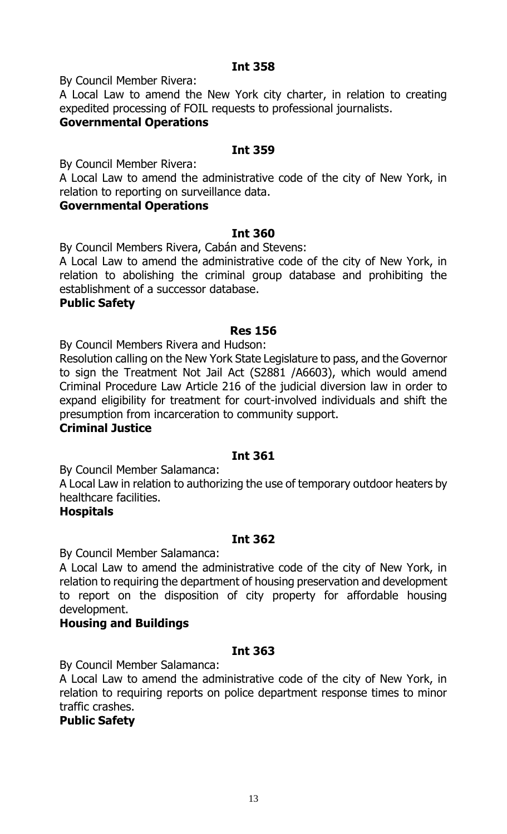By Council Member Rivera:

A Local Law to amend the New York city charter, in relation to creating expedited processing of FOIL requests to professional journalists.

# **Governmental Operations**

#### **Int 359**

By Council Member Rivera:

A Local Law to amend the administrative code of the city of New York, in relation to reporting on surveillance data.

#### **Governmental Operations**

#### **Int 360**

By Council Members Rivera, Cabán and Stevens:

A Local Law to amend the administrative code of the city of New York, in relation to abolishing the criminal group database and prohibiting the establishment of a successor database.

#### **Public Safety**

#### **Res 156**

By Council Members Rivera and Hudson:

Resolution calling on the New York State Legislature to pass, and the Governor to sign the Treatment Not Jail Act (S2881 /A6603), which would amend Criminal Procedure Law Article 216 of the judicial diversion law in order to expand eligibility for treatment for court-involved individuals and shift the presumption from incarceration to community support.

#### **Criminal Justice**

#### **Int 361**

By Council Member Salamanca:

A Local Law in relation to authorizing the use of temporary outdoor heaters by healthcare facilities.

#### **Hospitals**

#### **Int 362**

By Council Member Salamanca:

A Local Law to amend the administrative code of the city of New York, in relation to requiring the department of housing preservation and development to report on the disposition of city property for affordable housing development.

#### **Housing and Buildings**

#### **Int 363**

By Council Member Salamanca:

A Local Law to amend the administrative code of the city of New York, in relation to requiring reports on police department response times to minor traffic crashes.

#### **Public Safety**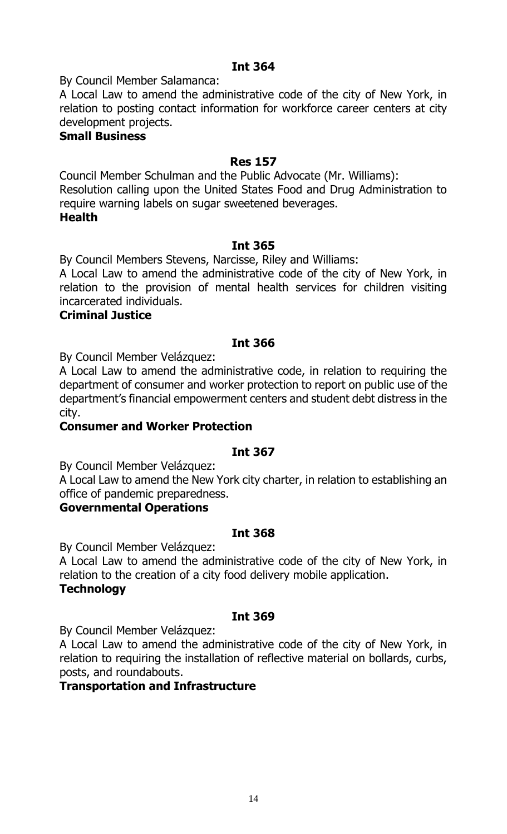By Council Member Salamanca:

A Local Law to amend the administrative code of the city of New York, in relation to posting contact information for workforce career centers at city development projects.

## **Small Business**

#### **Res 157**

Council Member Schulman and the Public Advocate (Mr. Williams): Resolution calling upon the United States Food and Drug Administration to require warning labels on sugar sweetened beverages. **Health**

#### **Int 365**

By Council Members Stevens, Narcisse, Riley and Williams:

A Local Law to amend the administrative code of the city of New York, in relation to the provision of mental health services for children visiting incarcerated individuals.

#### **Criminal Justice**

#### **Int 366**

By Council Member Velázquez:

A Local Law to amend the administrative code, in relation to requiring the department of consumer and worker protection to report on public use of the department's financial empowerment centers and student debt distress in the city.

#### **Consumer and Worker Protection**

#### **Int 367**

By Council Member Velázquez:

A Local Law to amend the New York city charter, in relation to establishing an office of pandemic preparedness.

#### **Governmental Operations**

#### **Int 368**

By Council Member Velázquez:

A Local Law to amend the administrative code of the city of New York, in relation to the creation of a city food delivery mobile application. **Technology**

#### **Int 369**

By Council Member Velázquez:

A Local Law to amend the administrative code of the city of New York, in relation to requiring the installation of reflective material on bollards, curbs, posts, and roundabouts.

#### **Transportation and Infrastructure**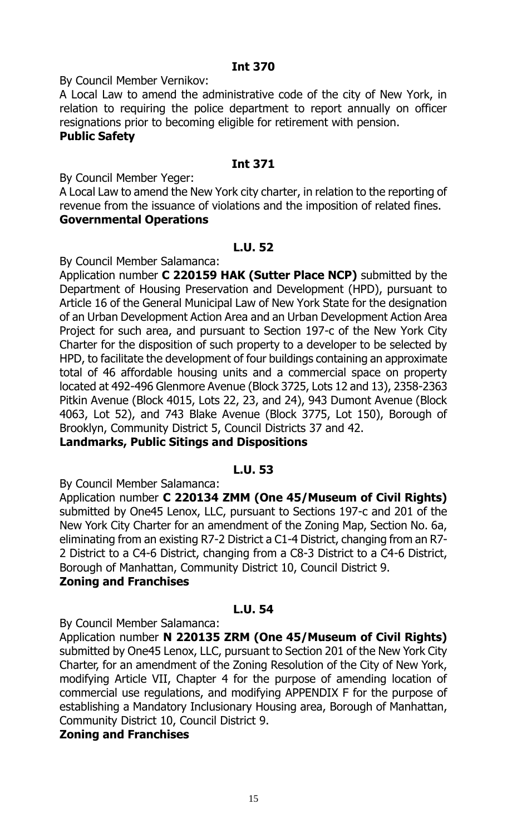By Council Member Vernikov:

A Local Law to amend the administrative code of the city of New York, in relation to requiring the police department to report annually on officer resignations prior to becoming eligible for retirement with pension.

# **Public Safety**

#### **Int 371**

By Council Member Yeger:

A Local Law to amend the New York city charter, in relation to the reporting of revenue from the issuance of violations and the imposition of related fines. **Governmental Operations**

#### **L.U. 52**

By Council Member Salamanca:

Application number **C 220159 HAK (Sutter Place NCP)** submitted by the Department of Housing Preservation and Development (HPD), pursuant to Article 16 of the General Municipal Law of New York State for the designation of an Urban Development Action Area and an Urban Development Action Area Project for such area, and pursuant to Section 197-c of the New York City Charter for the disposition of such property to a developer to be selected by HPD, to facilitate the development of four buildings containing an approximate total of 46 affordable housing units and a commercial space on property located at 492-496 Glenmore Avenue (Block 3725, Lots 12 and 13), 2358-2363 Pitkin Avenue (Block 4015, Lots 22, 23, and 24), 943 Dumont Avenue (Block 4063, Lot 52), and 743 Blake Avenue (Block 3775, Lot 150), Borough of Brooklyn, Community District 5, Council Districts 37 and 42.

# **Landmarks, Public Sitings and Dispositions**

#### **L.U. 53**

By Council Member Salamanca:

Application number **C 220134 ZMM (One 45/Museum of Civil Rights)**  submitted by One45 Lenox, LLC, pursuant to Sections 197-c and 201 of the New York City Charter for an amendment of the Zoning Map, Section No. 6a, eliminating from an existing R7-2 District a C1-4 District, changing from an R7- 2 District to a C4-6 District, changing from a C8-3 District to a C4-6 District, Borough of Manhattan, Community District 10, Council District 9.

#### **Zoning and Franchises**

#### **L.U. 54**

By Council Member Salamanca:

Application number **N 220135 ZRM (One 45/Museum of Civil Rights)**  submitted by One45 Lenox, LLC, pursuant to Section 201 of the New York City Charter, for an amendment of the Zoning Resolution of the City of New York, modifying Article VII, Chapter 4 for the purpose of amending location of commercial use regulations, and modifying APPENDIX F for the purpose of establishing a Mandatory Inclusionary Housing area, Borough of Manhattan, Community District 10, Council District 9.

#### **Zoning and Franchises**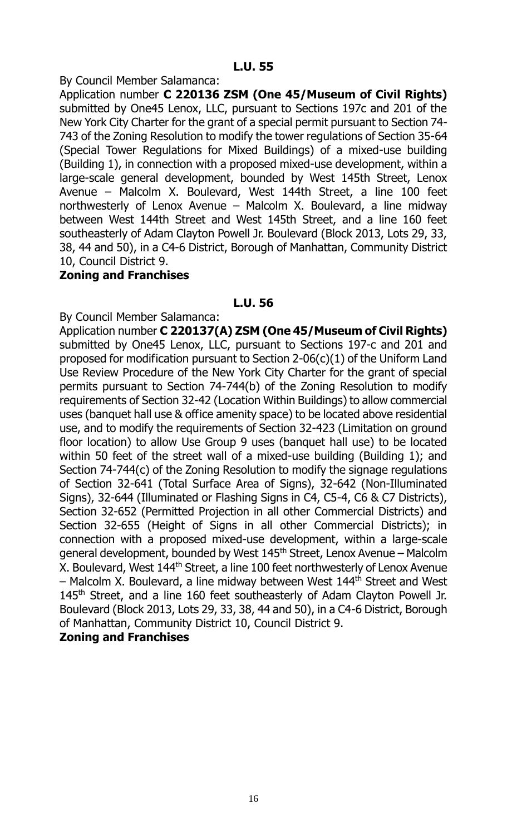#### **L.U. 55**

#### By Council Member Salamanca:

Application number **C 220136 ZSM (One 45/Museum of Civil Rights)** submitted by One45 Lenox, LLC, pursuant to Sections 197c and 201 of the New York City Charter for the grant of a special permit pursuant to Section 74- 743 of the Zoning Resolution to modify the tower regulations of Section 35-64 (Special Tower Regulations for Mixed Buildings) of a mixed-use building (Building 1), in connection with a proposed mixed-use development, within a large-scale general development, bounded by West 145th Street, Lenox Avenue – Malcolm X. Boulevard, West 144th Street, a line 100 feet northwesterly of Lenox Avenue – Malcolm X. Boulevard, a line midway between West 144th Street and West 145th Street, and a line 160 feet southeasterly of Adam Clayton Powell Jr. Boulevard (Block 2013, Lots 29, 33, 38, 44 and 50), in a C4-6 District, Borough of Manhattan, Community District 10, Council District 9.

#### **Zoning and Franchises**

#### **L.U. 56**

By Council Member Salamanca:

Application number **C 220137(A) ZSM (One 45/Museum of Civil Rights)** submitted by One45 Lenox, LLC, pursuant to Sections 197-c and 201 and proposed for modification pursuant to Section 2-06(c)(1) of the Uniform Land Use Review Procedure of the New York City Charter for the grant of special permits pursuant to Section 74-744(b) of the Zoning Resolution to modify requirements of Section 32-42 (Location Within Buildings) to allow commercial uses (banquet hall use & office amenity space) to be located above residential use, and to modify the requirements of Section 32-423 (Limitation on ground floor location) to allow Use Group 9 uses (banquet hall use) to be located within 50 feet of the street wall of a mixed-use building (Building 1); and Section 74-744(c) of the Zoning Resolution to modify the signage regulations of Section 32-641 (Total Surface Area of Signs), 32-642 (Non-Illuminated Signs), 32-644 (Illuminated or Flashing Signs in C4, C5-4, C6 & C7 Districts), Section 32-652 (Permitted Projection in all other Commercial Districts) and Section 32-655 (Height of Signs in all other Commercial Districts); in connection with a proposed mixed-use development, within a large-scale general development, bounded by West 145th Street, Lenox Avenue – Malcolm X. Boulevard, West 144<sup>th</sup> Street, a line 100 feet northwesterly of Lenox Avenue  $-$  Malcolm X. Boulevard, a line midway between West 144<sup>th</sup> Street and West 145<sup>th</sup> Street, and a line 160 feet southeasterly of Adam Clayton Powell Jr. Boulevard (Block 2013, Lots 29, 33, 38, 44 and 50), in a C4-6 District, Borough of Manhattan, Community District 10, Council District 9.

#### **Zoning and Franchises**